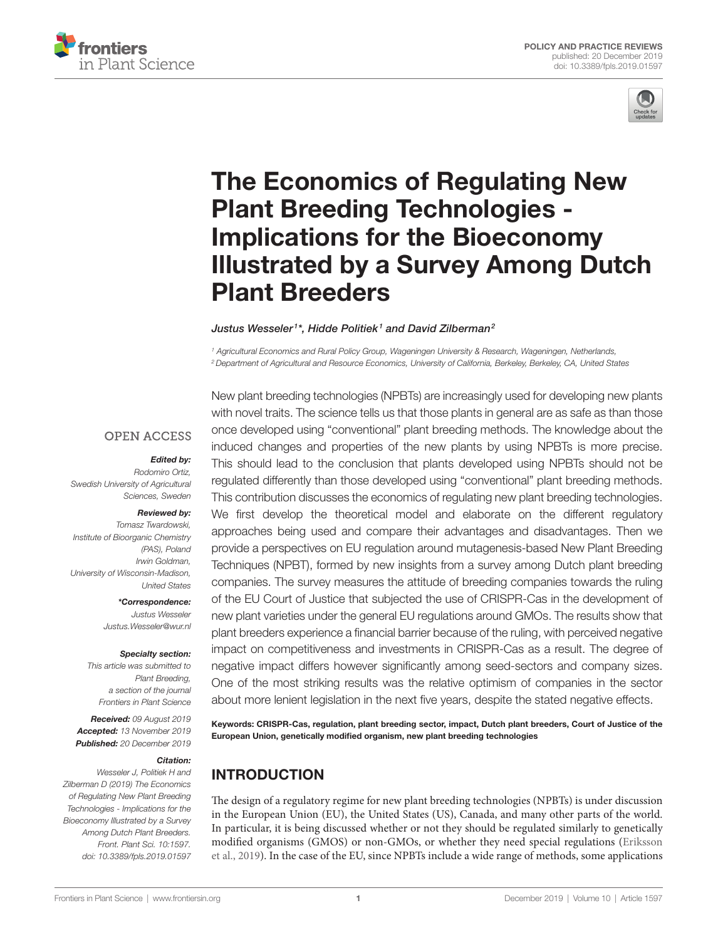



# [The Economics of Regulating New](https://www.frontiersin.org/article/10.3389/fpls.2019.01597/full)  [Plant Breeding Technologies -](https://www.frontiersin.org/article/10.3389/fpls.2019.01597/full)  [Implications for the Bioeconomy](https://www.frontiersin.org/article/10.3389/fpls.2019.01597/full)  [Illustrated by a Survey Among Dutch](https://www.frontiersin.org/article/10.3389/fpls.2019.01597/full)  [Plant Breeders](https://www.frontiersin.org/article/10.3389/fpls.2019.01597/full)

#### *[Justus Wesseler](https://loop.frontiersin.org/people/181736)1\*, [Hidde Politiek](https://loop.frontiersin.org/people/789213)1 and David Zilberman2*

1 Agricultural Economics and Rural Policy Group, Wageningen University & Research, Wageningen, Netherlands, 2 Department of Agricultural and Resource Economics, University of California, Berkeley, Berkeley, CA, United States

#### **OPEN ACCESS**

#### Edited by:

Rodomiro Ortiz, Swedish University of Agricultural Sciences, Sweden

#### Reviewed by:

Tomasz Twardowski, Institute of Bioorganic Chemistry (PAS), Poland Irwin Goldman, University of Wisconsin-Madison, United States

> \*Correspondence: Justus Wesseler [Justus.Wesseler@wur.nl](mailto:Justus.Wesseler@wur.nl)

#### Specialty section:

This article was submitted to Plant Breeding, a section of the journal Frontiers in Plant Science

Received: 09 August 2019 Accepted: 13 November 2019 Published: 20 December 2019

#### Citation:

Wesseler J, Politiek H and Zilberman D (2019) The Economics of Regulating New Plant Breeding Technologies - Implications for the Bioeconomy Illustrated by a Survey Among Dutch Plant Breeders. Front. Plant Sci. 10:1597. doi: [10.3389/fpls.2019.01597](https://doi.org/10.3389/fpls.2019.01597)

New plant breeding technologies (NPBTs) are increasingly used for developing new plants with novel traits. The science tells us that those plants in general are as safe as than those once developed using "conventional" plant breeding methods. The knowledge about the induced changes and properties of the new plants by using NPBTs is more precise. This should lead to the conclusion that plants developed using NPBTs should not be regulated differently than those developed using "conventional" plant breeding methods. This contribution discusses the economics of regulating new plant breeding technologies. We first develop the theoretical model and elaborate on the different regulatory approaches being used and compare their advantages and disadvantages. Then we provide a perspectives on EU regulation around mutagenesis-based New Plant Breeding Techniques (NPBT), formed by new insights from a survey among Dutch plant breeding companies. The survey measures the attitude of breeding companies towards the ruling of the EU Court of Justice that subjected the use of CRISPR-Cas in the development of new plant varieties under the general EU regulations around GMOs. The results show that plant breeders experience a financial barrier because of the ruling, with perceived negative impact on competitiveness and investments in CRISPR-Cas as a result. The degree of negative impact differs however significantly among seed-sectors and company sizes. One of the most striking results was the relative optimism of companies in the sector about more lenient legislation in the next five years, despite the stated negative effects.

Keywords: CRISPR-Cas, regulation, plant breeding sector, impact, Dutch plant breeders, Court of Justice of the European Union, genetically modified organism, new plant breeding technologies

# INTRODUCTION

The design of a regulatory regime for new plant breeding technologies (NPBTs) is under discussion in the European Union (EU), the United States (US), Canada, and many other parts of the world. In particular, it is being discussed whether or not they should be regulated similarly to genetically modified organisms (GMOS) or non-GMOs, or whether they need special regulations [\(Eriksson](#page-6-0)  [et al., 2019\)](#page-6-0). In the case of the EU, since NPBTs include a wide range of methods, some applications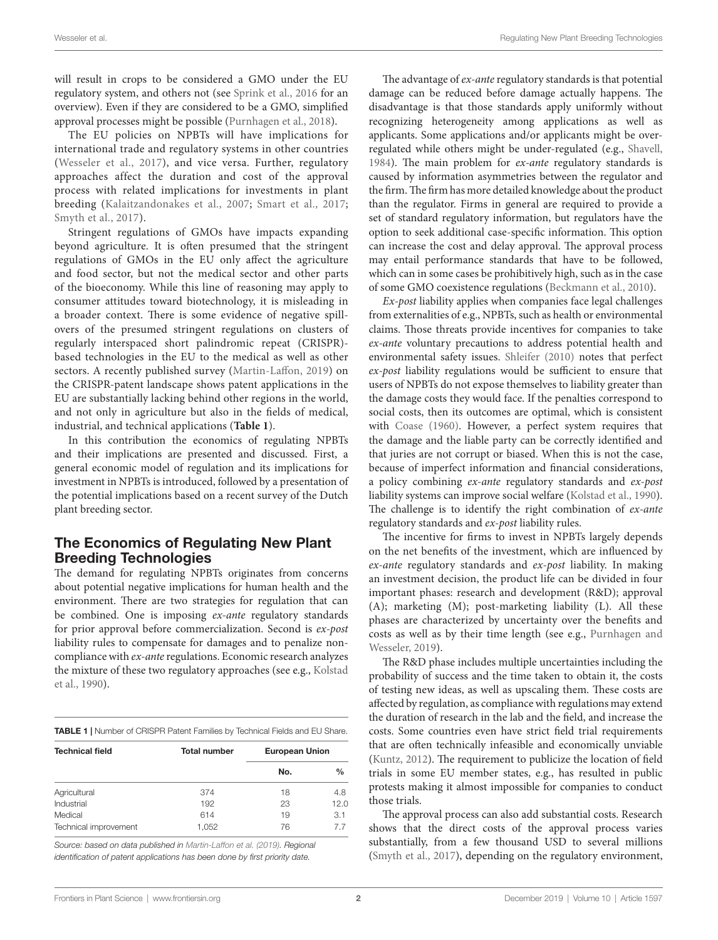will result in crops to be considered a GMO under the EU regulatory system, and others not (see [Sprink et al., 2016](#page-6-1) for an overview). Even if they are considered to be a GMO, simplified approval processes might be possible ([Purnhagen et al., 2018](#page-6-2)).

The EU policies on NPBTs will have implications for international trade and regulatory systems in other countries ([Wesseler et al., 2017\)](#page-7-0), and vice versa. Further, regulatory approaches affect the duration and cost of the approval process with related implications for investments in plant breeding [\(Kalaitzandonakes et al., 2007;](#page-6-3) [Smart et al., 2017;](#page-6-4) [Smyth et al., 2017](#page-6-5)).

Stringent regulations of GMOs have impacts expanding beyond agriculture. It is often presumed that the stringent regulations of GMOs in the EU only affect the agriculture and food sector, but not the medical sector and other parts of the bioeconomy. While this line of reasoning may apply to consumer attitudes toward biotechnology, it is misleading in a broader context. There is some evidence of negative spillovers of the presumed stringent regulations on clusters of regularly interspaced short palindromic repeat (CRISPR) based technologies in the EU to the medical as well as other sectors. A recently published survey [\(Martin-Laffon, 2019\)](#page-6-6) on the CRISPR-patent landscape shows patent applications in the EU are substantially lacking behind other regions in the world, and not only in agriculture but also in the fields of medical, industrial, and technical applications (**[Table 1](#page-1-0)**).

In this contribution the economics of regulating NPBTs and their implications are presented and discussed. First, a general economic model of regulation and its implications for investment in NPBTs is introduced, followed by a presentation of the potential implications based on a recent survey of the Dutch plant breeding sector.

## The Economics of Regulating New Plant Breeding Technologies

The demand for regulating NPBTs originates from concerns about potential negative implications for human health and the environment. There are two strategies for regulation that can be combined. One is imposing *ex-ante* regulatory standards for prior approval before commercialization. Second is *ex-post* liability rules to compensate for damages and to penalize noncompliance with *ex-ante* regulations. Economic research analyzes the mixture of these two regulatory approaches (see e.g., [Kolstad](#page-6-7)  [et al., 1990](#page-6-7)).

<span id="page-1-0"></span>

|  | TABLE 1   Number of CRISPR Patent Families by Technical Fields and EU Share. |  |  |  |  |
|--|------------------------------------------------------------------------------|--|--|--|--|

| <b>Technical field</b> | <b>Total number</b> | <b>European Union</b> |               |  |
|------------------------|---------------------|-----------------------|---------------|--|
|                        |                     | No.                   | $\frac{0}{0}$ |  |
| Agricultural           | 374                 | 18                    | 4.8           |  |
| Industrial             | 192                 | 23                    | 12.0          |  |
| Medical                | 614                 | 19                    | 3.1           |  |
| Technical improvement  | 1.052               | 76                    | 77            |  |

Source: based on data published in [Martin-Laffon et al. \(2019\).](#page-6-6) Regional identification of patent applications has been done by first priority date.

The advantage of *ex-ante* regulatory standards is that potential damage can be reduced before damage actually happens. The disadvantage is that those standards apply uniformly without recognizing heterogeneity among applications as well as applicants. Some applications and/or applicants might be overregulated while others might be under-regulated (e.g., [Shavell,](#page-6-8)  [1984](#page-6-8)). The main problem for *ex-ante* regulatory standards is caused by information asymmetries between the regulator and the firm. The firm has more detailed knowledge about the product than the regulator. Firms in general are required to provide a set of standard regulatory information, but regulators have the option to seek additional case-specific information. This option can increase the cost and delay approval. The approval process may entail performance standards that have to be followed, which can in some cases be prohibitively high, such as in the case of some GMO coexistence regulations ([Beckmann et al., 2010\)](#page-6-9).

*Ex-post* liability applies when companies face legal challenges from externalities of e.g., NPBTs, such as health or environmental claims. Those threats provide incentives for companies to take *ex-ante* voluntary precautions to address potential health and environmental safety issues. [Shleifer \(2010\)](#page-6-10) notes that perfect *ex-post* liability regulations would be sufficient to ensure that users of NPBTs do not expose themselves to liability greater than the damage costs they would face. If the penalties correspond to social costs, then its outcomes are optimal, which is consistent with [Coase \(1960\)](#page-6-11). However, a perfect system requires that the damage and the liable party can be correctly identified and that juries are not corrupt or biased. When this is not the case, because of imperfect information and financial considerations, a policy combining *ex-ante* regulatory standards and *ex-post* liability systems can improve social welfare [\(Kolstad et al., 1990](#page-6-7)). The challenge is to identify the right combination of *ex-ante* regulatory standards and *ex-post* liability rules.

The incentive for firms to invest in NPBTs largely depends on the net benefits of the investment, which are influenced by *ex-ante* regulatory standards and *ex-post* liability. In making an investment decision, the product life can be divided in four important phases: research and development (R&D); approval (A); marketing (M); post-marketing liability (L). All these phases are characterized by uncertainty over the benefits and costs as well as by their time length (see e.g., [Purnhagen and](#page-6-12)  [Wesseler, 2019\)](#page-6-12).

The R&D phase includes multiple uncertainties including the probability of success and the time taken to obtain it, the costs of testing new ideas, as well as upscaling them. These costs are affected by regulation, as compliance with regulations may extend the duration of research in the lab and the field, and increase the costs. Some countries even have strict field trial requirements that are often technically infeasible and economically unviable [\(Kuntz, 2012\)](#page-6-13). The requirement to publicize the location of field trials in some EU member states, e.g., has resulted in public protests making it almost impossible for companies to conduct those trials.

The approval process can also add substantial costs. Research shows that the direct costs of the approval process varies substantially, from a few thousand USD to several millions [\(Smyth et al., 2017\)](#page-6-5), depending on the regulatory environment,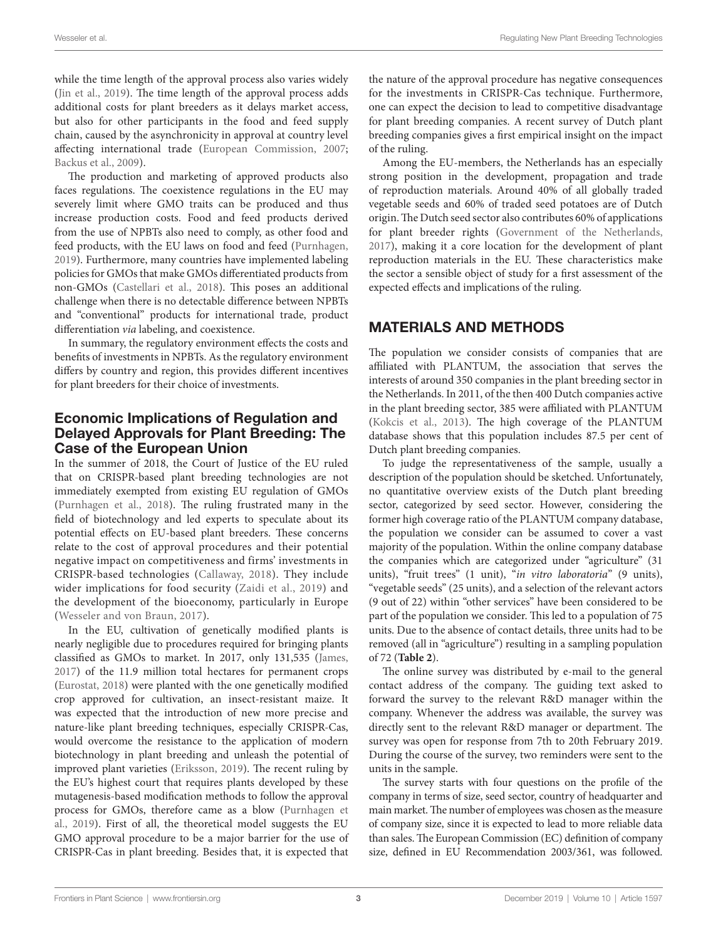while the time length of the approval process also varies widely ([Jin et al., 2019\)](#page-6-14). The time length of the approval process adds additional costs for plant breeders as it delays market access, but also for other participants in the food and feed supply chain, caused by the asynchronicity in approval at country level affecting international trade [\(European Commission, 2007;](#page-6-15) [Backus et al., 2009](#page-6-16)).

The production and marketing of approved products also faces regulations. The coexistence regulations in the EU may severely limit where GMO traits can be produced and thus increase production costs. Food and feed products derived from the use of NPBTs also need to comply, as other food and feed products, with the EU laws on food and feed ([Purnhagen,](#page-6-12)  [2019](#page-6-12)). Furthermore, many countries have implemented labeling policies for GMOs that make GMOs differentiated products from non-GMOs ([Castellari et al., 2018](#page-6-17)). This poses an additional challenge when there is no detectable difference between NPBTs and "conventional" products for international trade, product differentiation *via* labeling, and coexistence.

In summary, the regulatory environment effects the costs and benefits of investments in NPBTs. As the regulatory environment differs by country and region, this provides different incentives for plant breeders for their choice of investments.

## Economic Implications of Regulation and Delayed Approvals for Plant Breeding: The Case of the European Union

In the summer of 2018, the Court of Justice of the EU ruled that on CRISPR-based plant breeding technologies are not immediately exempted from existing EU regulation of GMOs [\(Purnhagen et al., 2018](#page-6-2)). The ruling frustrated many in the field of biotechnology and led experts to speculate about its potential effects on EU-based plant breeders. These concerns relate to the cost of approval procedures and their potential negative impact on competitiveness and firms' investments in CRISPR-based technologies ([Callaway, 2018](#page-6-18)). They include wider implications for food security [\(Zaidi et al., 2019](#page-7-1)) and the development of the bioeconomy, particularly in Europe ([Wesseler and von Braun, 2017\)](#page-7-2).

In the EU, cultivation of genetically modified plants is nearly negligible due to procedures required for bringing plants classified as GMOs to market. In 2017, only 131,535 [\(James,](#page-6-19)  [2017](#page-6-19)) of the 11.9 million total hectares for permanent crops [\(Eurostat, 2018](#page-6-20)) were planted with the one genetically modified crop approved for cultivation, an insect-resistant maize. It was expected that the introduction of new more precise and nature-like plant breeding techniques, especially CRISPR-Cas, would overcome the resistance to the application of modern biotechnology in plant breeding and unleash the potential of improved plant varieties (Eriksson, 2019). The recent ruling by the EU's highest court that requires plants developed by these mutagenesis-based modification methods to follow the approval process for GMOs, therefore came as a blow [\(Purnhagen et](#page-6-12)  [al., 2019](#page-6-12)). First of all, the theoretical model suggests the EU GMO approval procedure to be a major barrier for the use of CRISPR-Cas in plant breeding. Besides that, it is expected that

the nature of the approval procedure has negative consequences for the investments in CRISPR-Cas technique. Furthermore, one can expect the decision to lead to competitive disadvantage for plant breeding companies. A recent survey of Dutch plant breeding companies gives a first empirical insight on the impact of the ruling.

Among the EU-members, the Netherlands has an especially strong position in the development, propagation and trade of reproduction materials. Around 40% of all globally traded vegetable seeds and 60% of traded seed potatoes are of Dutch origin. The Dutch seed sector also contributes 60% of applications for plant breeder rights ([Government of the Netherlands,](#page-6-21)  [2017](#page-6-21)), making it a core location for the development of plant reproduction materials in the EU. These characteristics make the sector a sensible object of study for a first assessment of the expected effects and implications of the ruling.

# MATERIALS AND METHODS

The population we consider consists of companies that are affiliated with PLANTUM, the association that serves the interests of around 350 companies in the plant breeding sector in the Netherlands. In 2011, of the then 400 Dutch companies active in the plant breeding sector, 385 were affiliated with PLANTUM [\(Kokcis et al., 2013](#page-6-22)). The high coverage of the PLANTUM database shows that this population includes 87.5 per cent of Dutch plant breeding companies.

To judge the representativeness of the sample, usually a description of the population should be sketched. Unfortunately, no quantitative overview exists of the Dutch plant breeding sector, categorized by seed sector. However, considering the former high coverage ratio of the PLANTUM company database, the population we consider can be assumed to cover a vast majority of the population. Within the online company database the companies which are categorized under "agriculture" (31 units), "fruit trees" (1 unit), "*in vitro laboratoria*" (9 units), "vegetable seeds" (25 units), and a selection of the relevant actors (9 out of 22) within "other services" have been considered to be part of the population we consider. This led to a population of 75 units. Due to the absence of contact details, three units had to be removed (all in "agriculture") resulting in a sampling population of 72 (**[Table 2](#page-3-0)**).

The online survey was distributed by e-mail to the general contact address of the company. The guiding text asked to forward the survey to the relevant R&D manager within the company. Whenever the address was available, the survey was directly sent to the relevant R&D manager or department. The survey was open for response from 7th to 20th February 2019. During the course of the survey, two reminders were sent to the units in the sample.

The survey starts with four questions on the profile of the company in terms of size, seed sector, country of headquarter and main market. The number of employees was chosen as the measure of company size, since it is expected to lead to more reliable data than sales. The European Commission (EC) definition of company size, defined in EU Recommendation 2003/361, was followed.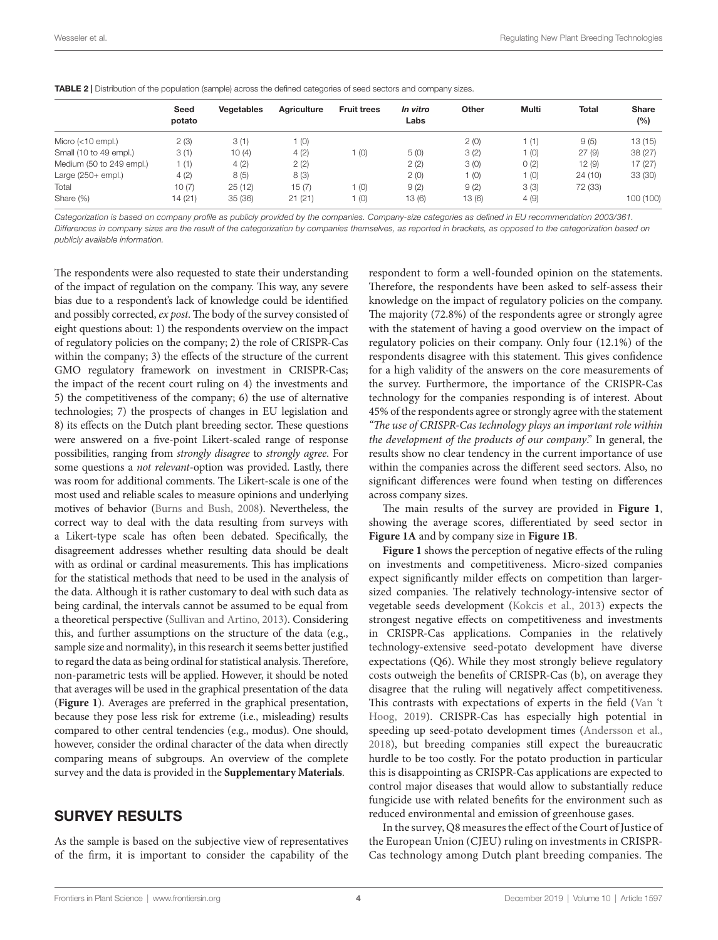|                              | Seed<br>potato | <b>Vegetables</b> | Agriculture | <b>Fruit trees</b> | In vitro<br>Labs | Other | Multi | <b>Total</b> | <b>Share</b><br>(%) |
|------------------------------|----------------|-------------------|-------------|--------------------|------------------|-------|-------|--------------|---------------------|
|                              |                |                   |             |                    |                  |       |       |              |                     |
| Micro $(< 10$ empl.)         | 2(3)           | 3(1)              | (0)         |                    |                  | 2(0)  | 1(1)  | 9(5)         | 13(15)              |
| Small (10 to 49 empl.)       | 3(1)           | 10(4)             | 4(2)        | (0)                | 5(0)             | 3(2)  | 1(0)  | 27(9)        | 38(27)              |
| Medium (50 to 249 empl.)     | 1 (1)          | 4(2)              | 2(2)        |                    | 2(2)             | 3(0)  | 0(2)  | 12(9)        | 17(27)              |
| Large $(250 + \text{empl.})$ | 4(2)           | 8(5)              | 8(3)        |                    | 2(0)             | (0)   | 1 (O) | 24 (10)      | 33(30)              |
| Total                        | 10(7)          | 25(12)            | 15(7)       | (0)                | 9(2)             | 9(2)  | 3(3)  | 72 (33)      |                     |
| Share (%)                    | 14 (21)        | 35(36)            | 21(21)      | (0)                | 13(6)            | 13(6) | 4(9)  |              | 100 (100)           |

<span id="page-3-0"></span>TABLE 2 | Distribution of the population (sample) across the defined categories of seed sectors and company sizes.

Categorization is based on company profile as publicly provided by the companies. Company-size categories as defined in EU recommendation 2003/361. Differences in company sizes are the result of the categorization by companies themselves, as reported in brackets, as opposed to the categorization based on publicly available information.

The respondents were also requested to state their understanding of the impact of regulation on the company. This way, any severe bias due to a respondent's lack of knowledge could be identified and possibly corrected, *ex post*. The body of the survey consisted of eight questions about: 1) the respondents overview on the impact of regulatory policies on the company; 2) the role of CRISPR-Cas within the company; 3) the effects of the structure of the current GMO regulatory framework on investment in CRISPR-Cas; the impact of the recent court ruling on 4) the investments and 5) the competitiveness of the company; 6) the use of alternative technologies; 7) the prospects of changes in EU legislation and 8) its effects on the Dutch plant breeding sector. These questions were answered on a five-point Likert-scaled range of response possibilities, ranging from *strongly disagree* to *strongly agree*. For some questions a *not relevant*-option was provided. Lastly, there was room for additional comments. The Likert-scale is one of the most used and reliable scales to measure opinions and underlying motives of behavior ([Burns and Bush, 2008\)](#page-6-23). Nevertheless, the correct way to deal with the data resulting from surveys with a Likert-type scale has often been debated. Specifically, the disagreement addresses whether resulting data should be dealt with as ordinal or cardinal measurements. This has implications for the statistical methods that need to be used in the analysis of the data. Although it is rather customary to deal with such data as being cardinal, the intervals cannot be assumed to be equal from a theoretical perspective [\(Sullivan and Artino, 2013](#page-7-3)). Considering this, and further assumptions on the structure of the data (e.g., sample size and normality), in this research it seems better justified to regard the data as being ordinal for statistical analysis. Therefore, non-parametric tests will be applied. However, it should be noted that averages will be used in the graphical presentation of the data (**[Figure 1](#page-4-0)**). Averages are preferred in the graphical presentation, because they pose less risk for extreme (i.e., misleading) results compared to other central tendencies (e.g., modus). One should, however, consider the ordinal character of the data when directly comparing means of subgroups. An overview of the complete survey and the data is provided in the **[Supplementary Materials](#page-6-24)**.

## SURVEY RESULTS

As the sample is based on the subjective view of representatives of the firm, it is important to consider the capability of the respondent to form a well-founded opinion on the statements. Therefore, the respondents have been asked to self-assess their knowledge on the impact of regulatory policies on the company. The majority (72.8%) of the respondents agree or strongly agree with the statement of having a good overview on the impact of regulatory policies on their company. Only four (12.1%) of the respondents disagree with this statement. This gives confidence for a high validity of the answers on the core measurements of the survey. Furthermore, the importance of the CRISPR-Cas technology for the companies responding is of interest. About 45% of the respondents agree or strongly agree with the statement *"The use of CRISPR-Cas technology plays an important role within the development of the products of our company*." In general, the results show no clear tendency in the current importance of use within the companies across the different seed sectors. Also, no significant differences were found when testing on differences across company sizes.

The main results of the survey are provided in **[Figure 1](#page-4-0)**, showing the average scores, differentiated by seed sector in **[Figure 1A](#page-4-0)** and by company size in **[Figure 1B](#page-4-0)**.

**[Figure 1](#page-4-0)** shows the perception of negative effects of the ruling on investments and competitiveness. Micro-sized companies expect significantly milder effects on competition than largersized companies. The relatively technology-intensive sector of vegetable seeds development [\(Kokcis et al., 2013](#page-6-22)) expects the strongest negative effects on competitiveness and investments in CRISPR-Cas applications. Companies in the relatively technology-extensive seed-potato development have diverse expectations (Q6). While they most strongly believe regulatory costs outweigh the benefits of CRISPR-Cas (b), on average they disagree that the ruling will negatively affect competitiveness. This contrasts with expectations of experts in the field (Van 't Hoog, 2019). CRISPR-Cas has especially high potential in speeding up seed-potato development times [\(Andersson et al.,](#page-6-25)  [2018](#page-6-25)), but breeding companies still expect the bureaucratic hurdle to be too costly. For the potato production in particular this is disappointing as CRISPR-Cas applications are expected to control major diseases that would allow to substantially reduce fungicide use with related benefits for the environment such as reduced environmental and emission of greenhouse gases.

In the survey, Q8 measures the effect of the Court of Justice of the European Union (CJEU) ruling on investments in CRISPR-Cas technology among Dutch plant breeding companies. The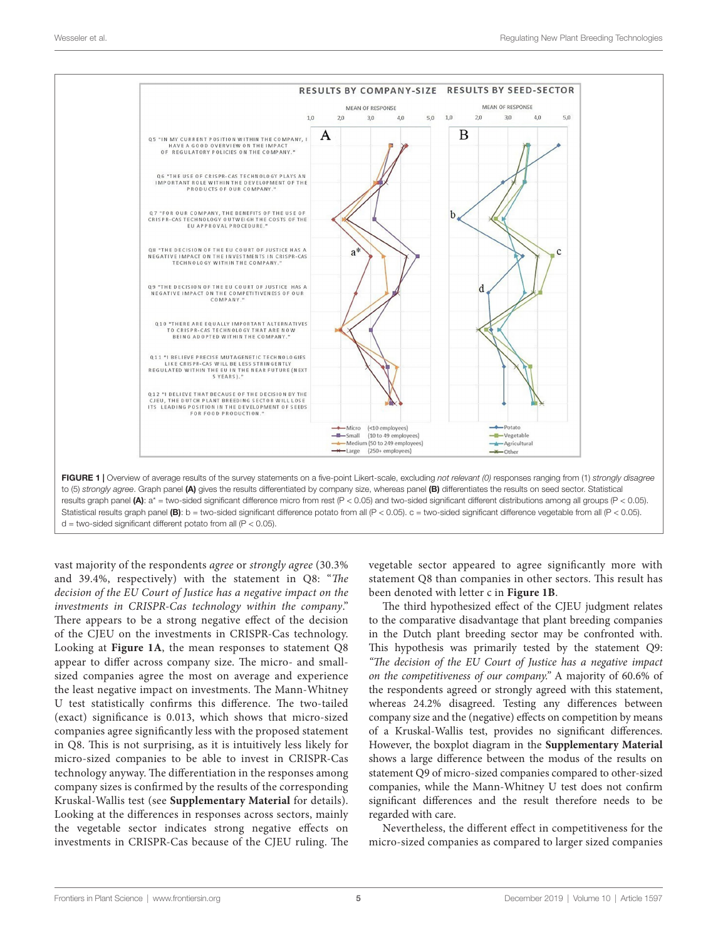

<span id="page-4-0"></span>

vast majority of the respondents *agree* or *strongly agree* (30.3% and 39.4%, respectively) with the statement in Q8: "*The decision of the EU Court of Justice has a negative impact on the investments in CRISPR-Cas technology within the company*." There appears to be a strong negative effect of the decision of the CJEU on the investments in CRISPR-Cas technology. Looking at **[Figure 1A](#page-4-0)**, the mean responses to statement Q8 appear to differ across company size. The micro- and smallsized companies agree the most on average and experience the least negative impact on investments. The Mann-Whitney U test statistically confirms this difference. The two-tailed (exact) significance is 0.013, which shows that micro-sized companies agree significantly less with the proposed statement in Q8. This is not surprising, as it is intuitively less likely for micro-sized companies to be able to invest in CRISPR-Cas technology anyway. The differentiation in the responses among company sizes is confirmed by the results of the corresponding Kruskal-Wallis test (see **[Supplementary Material](#page-6-24)** for details). Looking at the differences in responses across sectors, mainly the vegetable sector indicates strong negative effects on investments in CRISPR-Cas because of the CJEU ruling. The

vegetable sector appeared to agree significantly more with statement Q8 than companies in other sectors. This result has been denoted with letter c in **[Figure 1B](#page-4-0)**.

The third hypothesized effect of the CJEU judgment relates to the comparative disadvantage that plant breeding companies in the Dutch plant breeding sector may be confronted with. This hypothesis was primarily tested by the statement Q9: *"The decision of the EU Court of Justice has a negative impact on the competitiveness of our company."* A majority of 60.6% of the respondents agreed or strongly agreed with this statement, whereas 24.2% disagreed. Testing any differences between company size and the (negative) effects on competition by means of a Kruskal-Wallis test, provides no significant differences. However, the boxplot diagram in the **[Supplementary Material](#page-6-24)** shows a large difference between the modus of the results on statement Q9 of micro-sized companies compared to other-sized companies, while the Mann-Whitney U test does not confirm significant differences and the result therefore needs to be regarded with care.

Nevertheless, the different effect in competitiveness for the micro-sized companies as compared to larger sized companies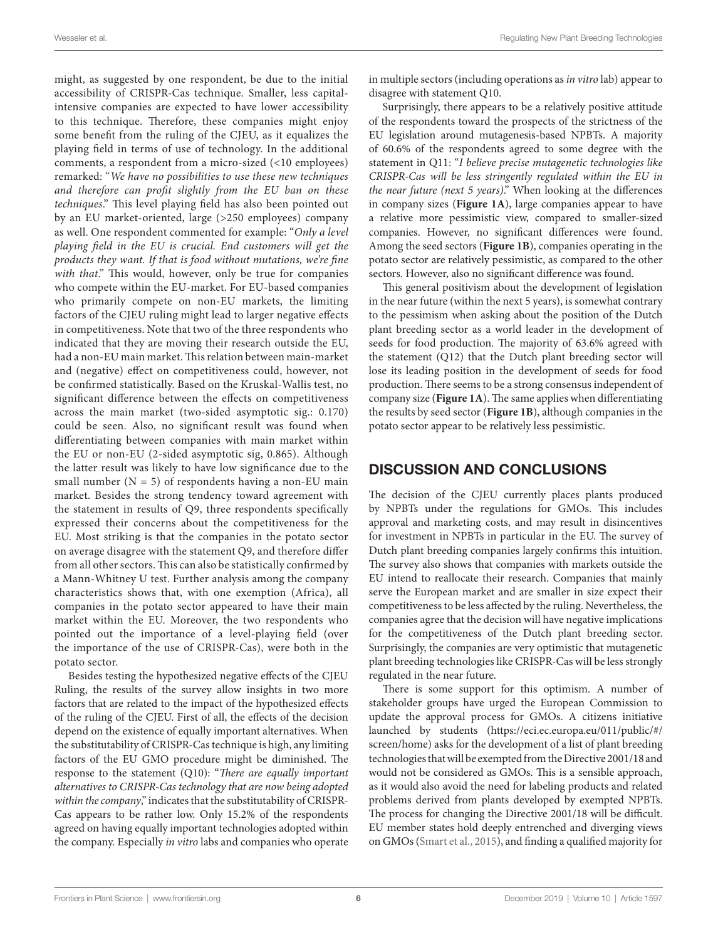might, as suggested by one respondent, be due to the initial accessibility of CRISPR-Cas technique. Smaller, less capitalintensive companies are expected to have lower accessibility to this technique. Therefore, these companies might enjoy some benefit from the ruling of the CJEU, as it equalizes the playing field in terms of use of technology. In the additional comments, a respondent from a micro-sized (<10 employees) remarked: "*We have no possibilities to use these new techniques and therefore can profit slightly from the EU ban on these techniques*." This level playing field has also been pointed out by an EU market-oriented, large (>250 employees) company as well. One respondent commented for example: "*Only a level playing field in the EU is crucial. End customers will get the products they want. If that is food without mutations, we're fine with that*." This would, however, only be true for companies who compete within the EU-market. For EU-based companies who primarily compete on non-EU markets, the limiting factors of the CJEU ruling might lead to larger negative effects in competitiveness. Note that two of the three respondents who indicated that they are moving their research outside the EU, had a non-EU main market. This relation between main-market and (negative) effect on competitiveness could, however, not be confirmed statistically. Based on the Kruskal-Wallis test, no significant difference between the effects on competitiveness across the main market (two-sided asymptotic sig.: 0.170) could be seen. Also, no significant result was found when differentiating between companies with main market within the EU or non-EU (2-sided asymptotic sig, 0.865). Although the latter result was likely to have low significance due to the small number  $(N = 5)$  of respondents having a non-EU main market. Besides the strong tendency toward agreement with the statement in results of Q9, three respondents specifically expressed their concerns about the competitiveness for the EU. Most striking is that the companies in the potato sector on average disagree with the statement Q9, and therefore differ from all other sectors. This can also be statistically confirmed by a Mann-Whitney U test. Further analysis among the company characteristics shows that, with one exemption (Africa), all companies in the potato sector appeared to have their main market within the EU. Moreover, the two respondents who pointed out the importance of a level-playing field (over the importance of the use of CRISPR-Cas), were both in the potato sector.

Besides testing the hypothesized negative effects of the CJEU Ruling, the results of the survey allow insights in two more factors that are related to the impact of the hypothesized effects of the ruling of the CJEU. First of all, the effects of the decision depend on the existence of equally important alternatives. When the substitutability of CRISPR-Cas technique is high, any limiting factors of the EU GMO procedure might be diminished. The response to the statement (Q10): "*There are equally important alternatives to CRISPR-Cas technology that are now being adopted within the company*," indicates that the substitutability of CRISPR-Cas appears to be rather low. Only 15.2% of the respondents agreed on having equally important technologies adopted within the company. Especially *in vitro* labs and companies who operate in multiple sectors (including operations as *in vitro* lab) appear to disagree with statement Q10.

Surprisingly, there appears to be a relatively positive attitude of the respondents toward the prospects of the strictness of the EU legislation around mutagenesis-based NPBTs. A majority of 60.6% of the respondents agreed to some degree with the statement in Q11: "*I believe precise mutagenetic technologies like CRISPR-Cas will be less stringently regulated within the EU in the near future (next 5 years)*." When looking at the differences in company sizes (**[Figure 1A](#page-4-0)**), large companies appear to have a relative more pessimistic view, compared to smaller-sized companies. However, no significant differences were found. Among the seed sectors (**[Figure 1B](#page-4-0)**), companies operating in the potato sector are relatively pessimistic, as compared to the other sectors. However, also no significant difference was found.

This general positivism about the development of legislation in the near future (within the next 5 years), is somewhat contrary to the pessimism when asking about the position of the Dutch plant breeding sector as a world leader in the development of seeds for food production. The majority of 63.6% agreed with the statement (Q12) that the Dutch plant breeding sector will lose its leading position in the development of seeds for food production. There seems to be a strong consensus independent of company size (**[Figure 1A](#page-4-0)**). The same applies when differentiating the results by seed sector (**[Figure 1B](#page-4-0)**), although companies in the potato sector appear to be relatively less pessimistic.

# DISCUSSION AND CONCLUSIONS

The decision of the CJEU currently places plants produced by NPBTs under the regulations for GMOs. This includes approval and marketing costs, and may result in disincentives for investment in NPBTs in particular in the EU. The survey of Dutch plant breeding companies largely confirms this intuition. The survey also shows that companies with markets outside the EU intend to reallocate their research. Companies that mainly serve the European market and are smaller in size expect their competitiveness to be less affected by the ruling. Nevertheless, the companies agree that the decision will have negative implications for the competitiveness of the Dutch plant breeding sector. Surprisingly, the companies are very optimistic that mutagenetic plant breeding technologies like CRISPR-Cas will be less strongly regulated in the near future.

There is some support for this optimism. A number of stakeholder groups have urged the European Commission to update the approval process for GMOs. A citizens initiative launched by students [\(https://eci.ec.europa.eu/011/public/#/](https://eci.ec.europa.eu/011/public/#/screen/home) [screen/home\)](https://eci.ec.europa.eu/011/public/#/screen/home) asks for the development of a list of plant breeding technologies that will be exempted from the Directive 2001/18 and would not be considered as GMOs. This is a sensible approach, as it would also avoid the need for labeling products and related problems derived from plants developed by exempted NPBTs. The process for changing the Directive 2001/18 will be difficult. EU member states hold deeply entrenched and diverging views on GMOs [\(Smart et al., 2015\)](#page-6-26), and finding a qualified majority for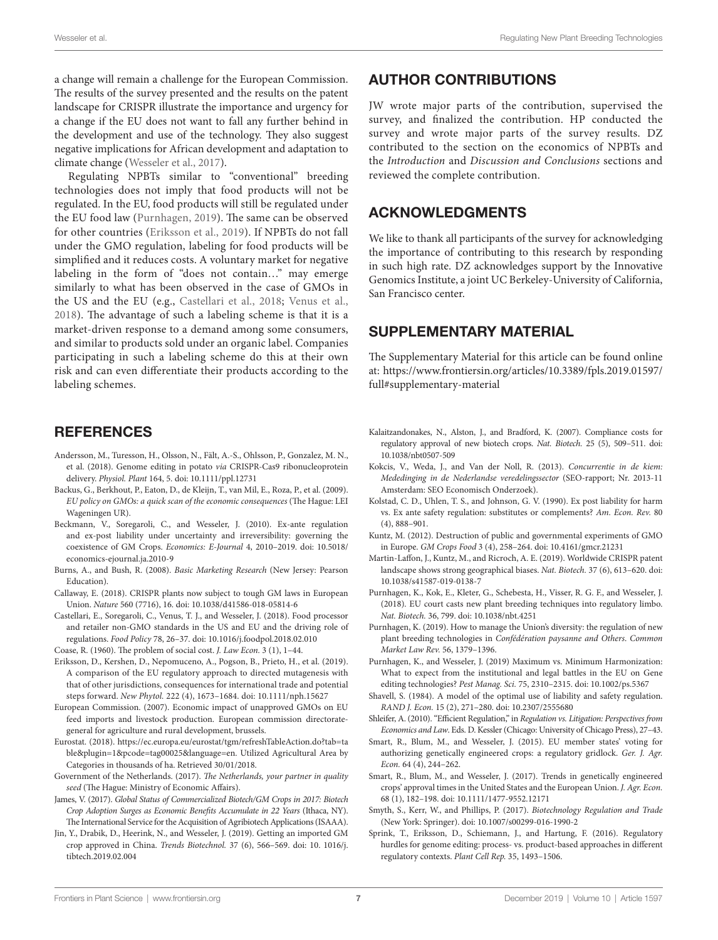a change will remain a challenge for the European Commission. The results of the survey presented and the results on the patent landscape for CRISPR illustrate the importance and urgency for a change if the EU does not want to fall any further behind in the development and use of the technology. They also suggest negative implications for African development and adaptation to climate change ([Wesseler et al., 2017\)](#page-7-0).

Regulating NPBTs similar to "conventional" breeding technologies does not imply that food products will not be regulated. In the EU, food products will still be regulated under the EU food law ([Purnhagen, 2019\)](#page-6-12). The same can be observed for other countries [\(Eriksson et al., 2019\)](#page-6-0). If NPBTs do not fall under the GMO regulation, labeling for food products will be simplified and it reduces costs. A voluntary market for negative labeling in the form of "does not contain…" may emerge similarly to what has been observed in the case of GMOs in the US and the EU (e.g., [Castellari et al., 2018;](#page-6-17) [Venus et al.,](#page-7-4)  [2018\)](#page-7-4). The advantage of such a labeling scheme is that it is a market-driven response to a demand among some consumers, and similar to products sold under an organic label. Companies participating in such a labeling scheme do this at their own risk and can even differentiate their products according to the labeling schemes.

## **REFERENCES**

- <span id="page-6-25"></span>Andersson, M., Turesson, H., Olsson, N., Fält, A.-S., Ohlsson, P., Gonzalez, M. N., et al. (2018). Genome editing in potato *via* CRISPR-Cas9 ribonucleoprotein delivery. *Physiol. Plant* 164, 5. doi: [10.1111/ppl.12731](https://doi.org/10.1111/ppl.12731)
- <span id="page-6-16"></span>Backus, G., Berkhout, P., Eaton, D., de Kleijn, T., van Mil, E., Roza, P., et al. (2009). *EU policy on GMOs: a quick scan of the economic consequences* (The Hague: LEI Wageningen UR).
- <span id="page-6-9"></span>Beckmann, V., Soregaroli, C., and Wesseler, J. (2010). Ex-ante regulation and ex-post liability under uncertainty and irreversibility: governing the coexistence of GM Crops. *Economics: E-Journal* 4, 2010–2019. doi: [10.5018/](https://doi.org/10.5018/economics-ejournal.ja.2010-9) [economics-ejournal.ja.2010-9](https://doi.org/10.5018/economics-ejournal.ja.2010-9)
- <span id="page-6-23"></span>Burns, A., and Bush, R. (2008). *Basic Marketing Research* (New Jersey: Pearson Education).
- <span id="page-6-18"></span>Callaway, E. (2018). CRISPR plants now subject to tough GM laws in European Union. *Nature* 560 (7716), 16. doi: [10.1038/d41586-018-05814-6](https://doi.org/10.1038/d41586-018-05814-6)
- <span id="page-6-17"></span>Castellari, E., Soregaroli, C., Venus, T. J., and Wesseler, J. (2018). Food processor and retailer non-GMO standards in the US and EU and the driving role of regulations. *Food Policy* 78, 26–37. doi: [10.1016/j.foodpol.2018.02.010](https://doi.org/10.1016/j.foodpol.2018.02.010)
- <span id="page-6-11"></span>Coase, R. (1960). The problem of social cost. *J. Law Econ.* 3 (1), 1–44.
- <span id="page-6-0"></span>Eriksson, D., Kershen, D., Nepomuceno, A., Pogson, B., Prieto, H., et al. (2019). A comparison of the EU regulatory approach to directed mutagenesis with that of other jurisdictions, consequences for international trade and potential steps forward. *New Phytol.* 222 (4), 1673–1684. doi: [10.1111/nph.15627](https://doi.org/10.1111/nph.15627)
- <span id="page-6-15"></span>European Commission. (2007). Economic impact of unapproved GMOs on EU feed imports and livestock production. European commission directorategeneral for agriculture and rural development, brussels.
- <span id="page-6-20"></span>Eurostat. (2018). [https://ec.europa.eu/eurostat/tgm/refreshTableAction.do?tab=ta](https://ec.europa.eu/eurostat/tgm/refreshTableAction.do?tab=table&plugin=1&pcode=tag00025&language=en) [ble&plugin=1&pcode=tag00025&language=en](https://ec.europa.eu/eurostat/tgm/refreshTableAction.do?tab=table&plugin=1&pcode=tag00025&language=en). Utilized Agricultural Area by Categories in thousands of ha. Retrieved 30/01/2018.
- <span id="page-6-21"></span>Government of the Netherlands. (2017). *The Netherlands, your partner in quality seed* (The Hague: Ministry of Economic Affairs).
- <span id="page-6-19"></span>James, V. (2017). *Global Status of Commercialized Biotech/GM Crops in 2017: Biotech Crop Adoption Surges as Economic Benefits Accumulate in 22 Years* (Ithaca, NY). The International Service for the Acquisition of Agribiotech Applications (ISAAA).
- <span id="page-6-14"></span>Jin, Y., Drabik, D., Heerink, N., and Wesseler, J. (2019). Getting an imported GM crop approved in China. *Trends Biotechnol.* 37 (6), 566–569. doi: [10. 1016/j.](https://doi.org/10. 1016/j.tibtech.2019.02.004) [tibtech.2019.02.004](https://doi.org/10. 1016/j.tibtech.2019.02.004)

## AUTHOR CONTRIBUTIONS

JW wrote major parts of the contribution, supervised the survey, and finalized the contribution. HP conducted the survey and wrote major parts of the survey results. DZ contributed to the section on the economics of NPBTs and the *Introduction* and *Discussion and Conclusions* sections and reviewed the complete contribution.

## ACKNOWLEDGMENTS

We like to thank all participants of the survey for acknowledging the importance of contributing to this research by responding in such high rate. DZ acknowledges support by the Innovative Genomics Institute, a joint UC Berkeley-University of California, San Francisco center.

# <span id="page-6-24"></span>SUPPLEMENTARY MATERIAL

The Supplementary Material for this article can be found online at: [https://www.frontiersin.org/articles/10.3389/fpls.2019.01597/](https://www.frontiersin.org/articles/10.3389/fpls.2019.01597/full#supplementary-material) [full#supplementary-material](https://www.frontiersin.org/articles/10.3389/fpls.2019.01597/full#supplementary-material)

- <span id="page-6-3"></span>Kalaitzandonakes, N., Alston, J., and Bradford, K. (2007). Compliance costs for regulatory approval of new biotech crops. *Nat. Biotech.* 25 (5), 509–511. doi: [10.1038/nbt0507-509](https://doi.org/10.1038/nbt0507-509)
- <span id="page-6-22"></span>Kokcis, V., Weda, J., and Van der Noll, R. (2013). *Concurrentie in de kiem: Mededinging in de Nederlandse veredelingssector* (SEO-rapport; Nr. 2013-11 Amsterdam: SEO Economisch Onderzoek).
- <span id="page-6-7"></span>Kolstad, C. D., Uhlen, T. S., and Johnson, G. V. (1990). Ex post liability for harm vs. Ex ante safety regulation: substitutes or complements? *Am. Econ. Rev.* 80 (4), 888–901.
- <span id="page-6-13"></span>Kuntz, M. (2012). Destruction of public and governmental experiments of GMO in Europe. *GM Crops Food* 3 (4), 258–264. doi: [10.4161/gmcr.21231](https://doi.org/10.4161/gmcr.21231)
- <span id="page-6-6"></span>Martin-Laffon, J., Kuntz, M., and Ricroch, A. E. (2019). Worldwide CRISPR patent landscape shows strong geographical biases. *Nat. Biotech.* 37 (6), 613–620. doi: [10.1038/s41587-019-0138-7](https://doi.org/10.1038/s41587-019-0138-7)
- <span id="page-6-2"></span>Purnhagen, K., Kok, E., Kleter, G., Schebesta, H., Visser, R. G. F., and Wesseler, J. (2018). EU court casts new plant breeding techniques into regulatory limbo. *Nat. Biotech.* 36, 799. doi: [10.1038/nbt.4251](https://doi.org/10.1038/nbt.4251)
- <span id="page-6-12"></span>Purnhagen, K. (2019). How to manage the Union's diversity: the regulation of new plant breeding technologies in *Confédération paysanne and Others*. *Common Market Law Rev.* 56, 1379–1396.
- Purnhagen, K., and Wesseler, J. (2019) Maximum vs. Minimum Harmonization: What to expect from the institutional and legal battles in the EU on Gene editing technologies? *Pest Manag. Sci.* 75, 2310–2315. doi: [10.1002/ps.5367](https://doi.org/10.1002/ps.5367)
- <span id="page-6-8"></span>Shavell, S. (1984). A model of the optimal use of liability and safety regulation. *RAND J. Econ.* 15 (2), 271–280. doi: [10.2307/2555680](https://doi.org/10.2307/2555680)
- <span id="page-6-10"></span>Shleifer, A. (2010). "Efficient Regulation," in *Regulation vs. Litigation: Perspectives from Economics and Law*. Eds. D. Kessler (Chicago: University of Chicago Press), 27–43.
- <span id="page-6-26"></span>Smart, R., Blum, M., and Wesseler, J. (2015). EU member states' voting for authorizing genetically engineered crops: a regulatory gridlock. *Ger. J. Agr. Econ.* 64 (4), 244–262.
- <span id="page-6-4"></span>Smart, R., Blum, M., and Wesseler, J. (2017). Trends in genetically engineered crops' approval times in the United States and the European Union. *J. Agr. Econ.* 68 (1), 182–198. doi: [10.1111/1477-9552.12171](https://doi.org/10.1111/1477-9552.12171)
- <span id="page-6-5"></span>Smyth, S., Kerr, W., and Phillips, P. (2017). *Biotechnology Regulation and Trade* (New York: Springer). doi: [10.1007/s00299-016-1990-2](https://doi.org/10.1007/s00299-016-1990-2)
- <span id="page-6-1"></span>Sprink, T., Eriksson, D., Schiemann, J., and Hartung, F. (2016). Regulatory hurdles for genome editing: process- vs. product-based approaches in different regulatory contexts. *Plant Cell Rep.* 35, 1493–1506.